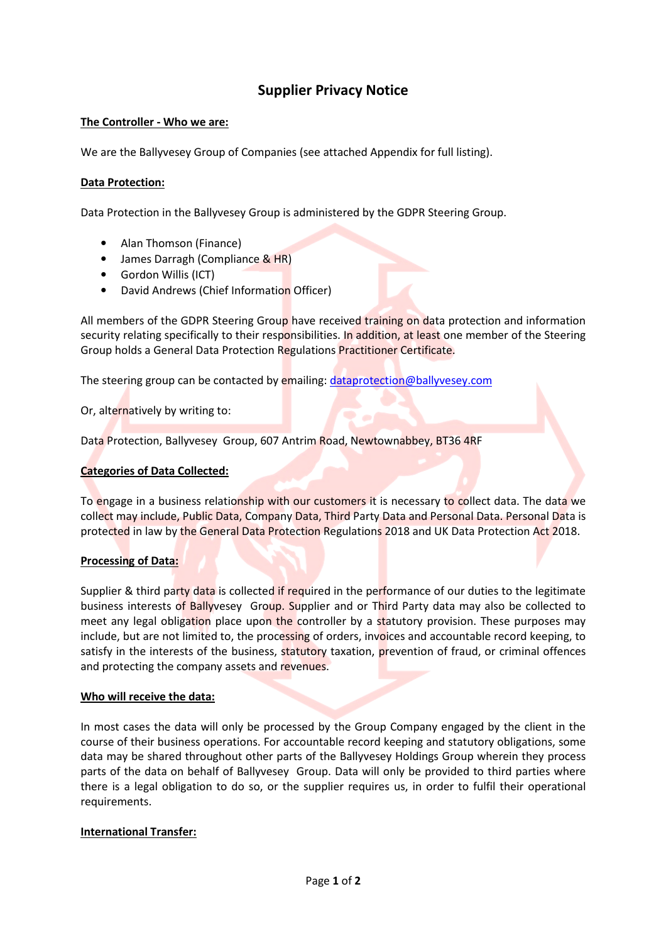# Supplier Privacy Notice

## The Controller - Who we are:

We are the Ballyvesey Group of Companies (see attached Appendix for full listing).

## Data Protection:

Data Protection in the Ballyvesey Group is administered by the GDPR Steering Group.

- Alan Thomson (Finance)
- James Darragh (Compliance & HR)
- Gordon Willis (ICT)
- David Andrews (Chief Information Officer)

All members of the GDPR Steering Group have received training on data protection and information security relating specifically to their responsibilities. In addition, at least one member of the Steering Group holds a General Data Protection Regulations Practitioner Certificate.

The steering group can be contacted by emailing: dataprotection@ballyvesey.com

Or, alternatively by writing to:

Data Protection, Ballyvesey Group, 607 Antrim Road, Newtownabbey, BT36 4RF

#### Categories of Data Collected:

To engage in a business relationship with our customers it is necessary to collect data. The data we collect may include, Public Data, Company Data, Third Party Data and Personal Data. Personal Data is protected in law by the General Data Protection Regulations 2018 and UK Data Protection Act 2018.

#### Processing of Data:

Supplier & third party data is collected if required in the performance of our duties to the legitimate business interests of Ballyvesey Group. Supplier and or Third Party data may also be collected to meet any legal obligation place upon the controller by a statutory provision. These purposes may include, but are not limited to, the processing of orders, invoices and accountable record keeping, to satisfy in the interests of the business, statutory taxation, prevention of fraud, or criminal offences and protecting the company assets and revenues.

#### Who will receive the data:

In most cases the data will only be processed by the Group Company engaged by the client in the course of their business operations. For accountable record keeping and statutory obligations, some data may be shared throughout other parts of the Ballyvesey Holdings Group wherein they process parts of the data on behalf of Ballyvesey Group. Data will only be provided to third parties where there is a legal obligation to do so, or the supplier requires us, in order to fulfil their operational requirements.

#### International Transfer: